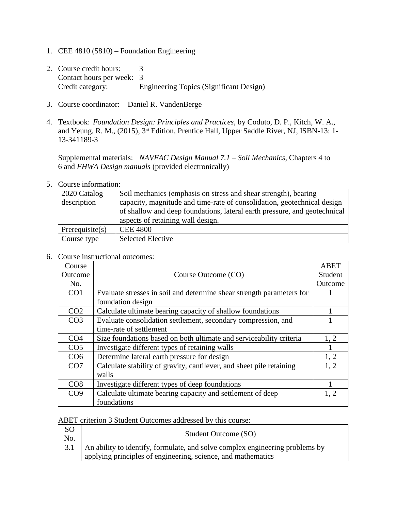- 1. CEE 4810 (5810) Foundation Engineering
- 2. Course credit hours: 3 Contact hours per week: 3 Credit category: Engineering Topics (Significant Design)
- 3. Course coordinator: Daniel R. VandenBerge
- 4. Textbook: *Foundation Design: Principles and Practices*, by Coduto, D. P., Kitch, W. A., and Yeung, R. M., (2015), 3rd Edition, Prentice Hall, Upper Saddle River, NJ, ISBN-13: 1- 13-341189-3

Supplemental materials: *NAVFAC Design Manual 7.1 – Soil Mechanics*, Chapters 4 to 6 and *FHWA Design manuals* (provided electronically)

5. Course information:

| 2020 Catalog    | Soil mechanics (emphasis on stress and shear strength), bearing           |
|-----------------|---------------------------------------------------------------------------|
| description     | capacity, magnitude and time-rate of consolidation, geotechnical design   |
|                 | of shallow and deep foundations, lateral earth pressure, and geotechnical |
|                 | aspects of retaining wall design.                                         |
| Prerequisite(s) | <b>CEE 4800</b>                                                           |
| Course type     | <b>Selected Elective</b>                                                  |

6. Course instructional outcomes:

| Course          |                                                                       | <b>ABET</b> |
|-----------------|-----------------------------------------------------------------------|-------------|
| Outcome         | Course Outcome (CO)                                                   | Student     |
| No.             |                                                                       | Outcome     |
| CO <sub>1</sub> | Evaluate stresses in soil and determine shear strength parameters for |             |
|                 | foundation design                                                     |             |
| CO <sub>2</sub> | Calculate ultimate bearing capacity of shallow foundations            |             |
| CO <sub>3</sub> | Evaluate consolidation settlement, secondary compression, and         |             |
|                 | time-rate of settlement                                               |             |
| CO <sub>4</sub> | Size foundations based on both ultimate and serviceability criteria   | 1, 2        |
| CO <sub>5</sub> | Investigate different types of retaining walls                        |             |
| CO <sub>6</sub> | Determine lateral earth pressure for design                           | 1, 2        |
| CO <sub>7</sub> | Calculate stability of gravity, cantilever, and sheet pile retaining  | 1, 2        |
|                 | walls                                                                 |             |
| CO8             | Investigate different types of deep foundations                       |             |
| CO9             | Calculate ultimate bearing capacity and settlement of deep            | 1, 2        |
|                 | foundations                                                           |             |

ABET criterion 3 Student Outcomes addressed by this course:

| <sub>SO</sub><br>No. | Student Outcome (SO)                                                                                                                             |
|----------------------|--------------------------------------------------------------------------------------------------------------------------------------------------|
|                      | 3.1 An ability to identify, formulate, and solve complex engineering problems by<br>applying principles of engineering, science, and mathematics |